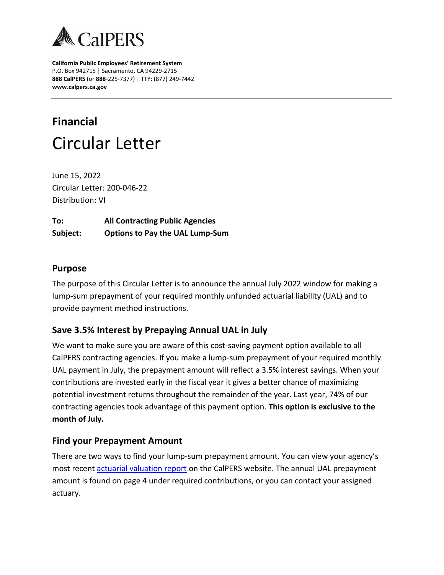

**California Public Employees' Retirement System** P.O. Box 942715 | Sacramento, CA 94229-2715 **888 CalPERS** (or **888**-225-7377) | TTY: (877) 249-7442 **www.calpers.ca.gov**

# **Financial** Circular Letter

June 15, 2022 Circular Letter: 200-046-22 Distribution: VI

**To: All Contracting Public Agencies Subject: Options to Pay the UAL Lump-Sum**

# **Purpose**

The purpose of this Circular Letter is to announce the annual July 2022 window for making a lump-sum prepayment of your required monthly unfunded actuarial liability (UAL) and to provide payment method instructions.

# **Save 3.5% Interest by Prepaying Annual UAL in July**

We want to make sure you are aware of this cost-saving payment option available to all CalPERS contracting agencies. If you make a lump-sum prepayment of your required monthly UAL payment in July, the prepayment amount will reflect a 3.5% interest savings. When your contributions are invested early in the fiscal year it gives a better chance of maximizing potential investment returns throughout the remainder of the year. Last year, 74% of our contracting agencies took advantage of this payment option. **This option is exclusive to the month of July.**

#### **Find your Prepayment Amount**

There are two ways to find your lump-sum prepayment amount. You can view your agency's most recent [actuarial valuation report](https://www.calpers.ca.gov/page/employers/actuarial-resources/public-agency-actuarial-valuation-reports) on the CalPERS website. The annual UAL prepayment amount is found on page 4 under required contributions, or you can contact your assigned actuary.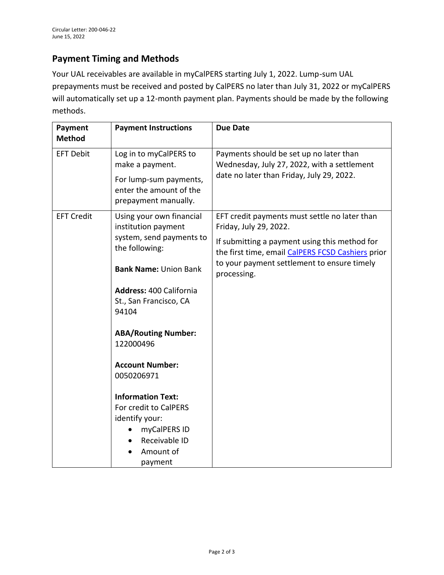# **Payment Timing and Methods**

Your UAL receivables are available in myCalPERS starting July 1, 2022. Lump-sum UAL prepayments must be received and posted by CalPERS no later than July 31, 2022 or myCalPERS will automatically set up a 12-month payment plan. Payments should be made by the following methods.

| Payment<br><b>Method</b> | <b>Payment Instructions</b>                                                                                                                                                                                                                                             | <b>Due Date</b>                                                                                                                                                                                                                             |
|--------------------------|-------------------------------------------------------------------------------------------------------------------------------------------------------------------------------------------------------------------------------------------------------------------------|---------------------------------------------------------------------------------------------------------------------------------------------------------------------------------------------------------------------------------------------|
| <b>EFT Debit</b>         | Log in to myCalPERS to<br>make a payment.<br>For lump-sum payments,<br>enter the amount of the<br>prepayment manually.                                                                                                                                                  | Payments should be set up no later than<br>Wednesday, July 27, 2022, with a settlement<br>date no later than Friday, July 29, 2022.                                                                                                         |
| <b>EFT Credit</b>        | Using your own financial<br>institution payment<br>system, send payments to<br>the following:<br><b>Bank Name: Union Bank</b><br><b>Address: 400 California</b><br>St., San Francisco, CA<br>94104<br><b>ABA/Routing Number:</b><br>122000496<br><b>Account Number:</b> | EFT credit payments must settle no later than<br>Friday, July 29, 2022.<br>If submitting a payment using this method for<br>the first time, email CalPERS FCSD Cashiers prior<br>to your payment settlement to ensure timely<br>processing. |
|                          | 0050206971<br><b>Information Text:</b><br>For credit to CalPERS<br>identify your:<br>myCalPERS ID<br>Receivable ID<br>Amount of<br>payment                                                                                                                              |                                                                                                                                                                                                                                             |